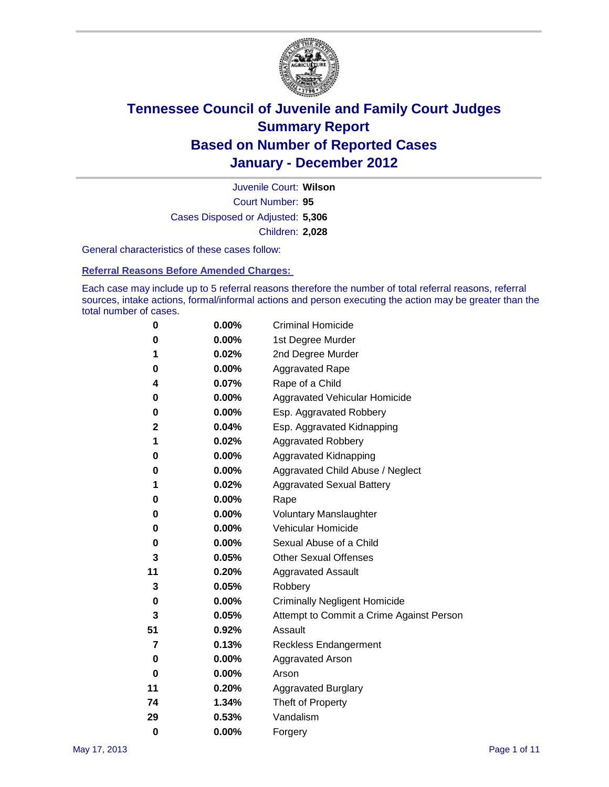

Court Number: **95** Juvenile Court: **Wilson** Cases Disposed or Adjusted: **5,306** Children: **2,028**

General characteristics of these cases follow:

**Referral Reasons Before Amended Charges:** 

Each case may include up to 5 referral reasons therefore the number of total referral reasons, referral sources, intake actions, formal/informal actions and person executing the action may be greater than the total number of cases.

| 0  | 0.00% | <b>Criminal Homicide</b>                 |  |  |  |
|----|-------|------------------------------------------|--|--|--|
| 0  | 0.00% | 1st Degree Murder                        |  |  |  |
| 1  | 0.02% | 2nd Degree Murder                        |  |  |  |
| 0  | 0.00% | <b>Aggravated Rape</b>                   |  |  |  |
| 4  | 0.07% | Rape of a Child                          |  |  |  |
| 0  | 0.00% | Aggravated Vehicular Homicide            |  |  |  |
| 0  | 0.00% | Esp. Aggravated Robbery                  |  |  |  |
| 2  | 0.04% | Esp. Aggravated Kidnapping               |  |  |  |
| 1  | 0.02% | <b>Aggravated Robbery</b>                |  |  |  |
| 0  | 0.00% | Aggravated Kidnapping                    |  |  |  |
| 0  | 0.00% | Aggravated Child Abuse / Neglect         |  |  |  |
| 1  | 0.02% | <b>Aggravated Sexual Battery</b>         |  |  |  |
| 0  | 0.00% | Rape                                     |  |  |  |
| 0  | 0.00% | <b>Voluntary Manslaughter</b>            |  |  |  |
| 0  | 0.00% | Vehicular Homicide                       |  |  |  |
| 0  | 0.00% | Sexual Abuse of a Child                  |  |  |  |
| 3  | 0.05% | <b>Other Sexual Offenses</b>             |  |  |  |
| 11 | 0.20% | <b>Aggravated Assault</b>                |  |  |  |
| 3  | 0.05% | Robbery                                  |  |  |  |
| 0  | 0.00% | <b>Criminally Negligent Homicide</b>     |  |  |  |
| 3  | 0.05% | Attempt to Commit a Crime Against Person |  |  |  |
| 51 | 0.92% | Assault                                  |  |  |  |
| 7  | 0.13% | <b>Reckless Endangerment</b>             |  |  |  |
| 0  | 0.00% | <b>Aggravated Arson</b>                  |  |  |  |
| 0  | 0.00% | Arson                                    |  |  |  |
| 11 | 0.20% | <b>Aggravated Burglary</b>               |  |  |  |
| 74 | 1.34% | Theft of Property                        |  |  |  |
| 29 | 0.53% | Vandalism                                |  |  |  |
| 0  | 0.00% | Forgery                                  |  |  |  |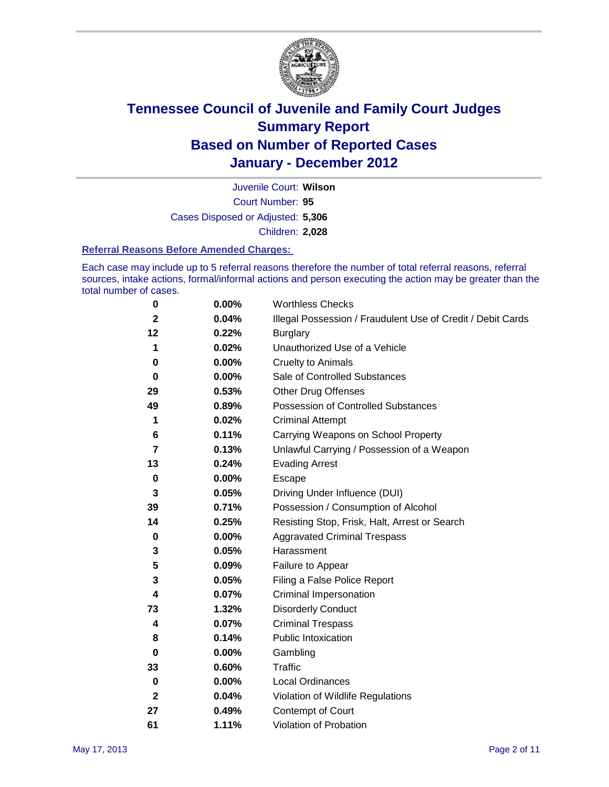

Court Number: **95** Juvenile Court: **Wilson** Cases Disposed or Adjusted: **5,306** Children: **2,028**

#### **Referral Reasons Before Amended Charges:**

Each case may include up to 5 referral reasons therefore the number of total referral reasons, referral sources, intake actions, formal/informal actions and person executing the action may be greater than the total number of cases.

| 0            | 0.00% | <b>Worthless Checks</b>                                     |
|--------------|-------|-------------------------------------------------------------|
| $\mathbf{2}$ | 0.04% | Illegal Possession / Fraudulent Use of Credit / Debit Cards |
| 12           | 0.22% | <b>Burglary</b>                                             |
| 1            | 0.02% | Unauthorized Use of a Vehicle                               |
| 0            | 0.00% | <b>Cruelty to Animals</b>                                   |
| 0            | 0.00% | Sale of Controlled Substances                               |
| 29           | 0.53% | <b>Other Drug Offenses</b>                                  |
| 49           | 0.89% | Possession of Controlled Substances                         |
| 1            | 0.02% | <b>Criminal Attempt</b>                                     |
| 6            | 0.11% | Carrying Weapons on School Property                         |
| 7            | 0.13% | Unlawful Carrying / Possession of a Weapon                  |
| 13           | 0.24% | <b>Evading Arrest</b>                                       |
| 0            | 0.00% | Escape                                                      |
| 3            | 0.05% | Driving Under Influence (DUI)                               |
| 39           | 0.71% | Possession / Consumption of Alcohol                         |
| 14           | 0.25% | Resisting Stop, Frisk, Halt, Arrest or Search               |
| 0            | 0.00% | <b>Aggravated Criminal Trespass</b>                         |
| 3            | 0.05% | Harassment                                                  |
| 5            | 0.09% | Failure to Appear                                           |
| 3            | 0.05% | Filing a False Police Report                                |
| 4            | 0.07% | Criminal Impersonation                                      |
| 73           | 1.32% | <b>Disorderly Conduct</b>                                   |
| 4            | 0.07% | <b>Criminal Trespass</b>                                    |
| 8            | 0.14% | <b>Public Intoxication</b>                                  |
| 0            | 0.00% | Gambling                                                    |
| 33           | 0.60% | <b>Traffic</b>                                              |
| 0            | 0.00% | <b>Local Ordinances</b>                                     |
| $\mathbf 2$  | 0.04% | Violation of Wildlife Regulations                           |
| 27           | 0.49% | Contempt of Court                                           |
| 61           | 1.11% | Violation of Probation                                      |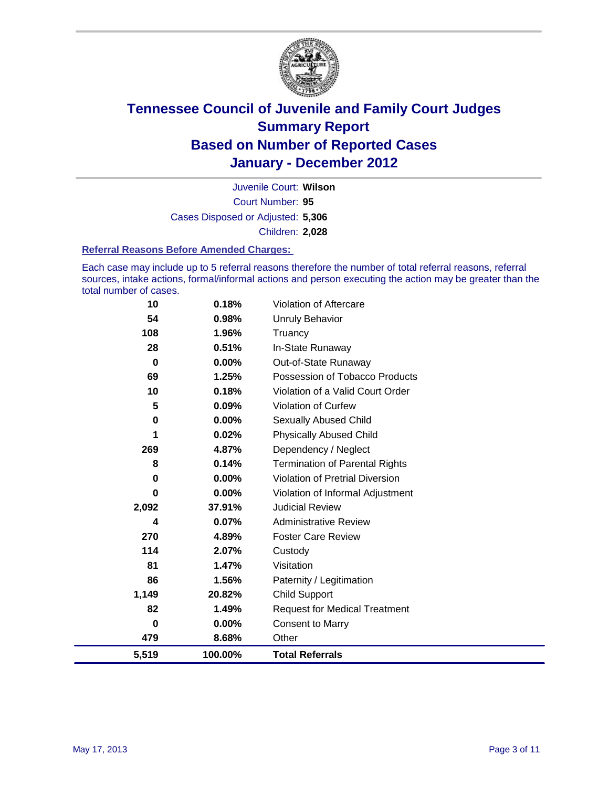

Court Number: **95** Juvenile Court: **Wilson** Cases Disposed or Adjusted: **5,306** Children: **2,028**

#### **Referral Reasons Before Amended Charges:**

Each case may include up to 5 referral reasons therefore the number of total referral reasons, referral sources, intake actions, formal/informal actions and person executing the action may be greater than the total number of cases.

| 10    | 0.18%    | <b>Violation of Aftercare</b>          |
|-------|----------|----------------------------------------|
| 54    | 0.98%    | Unruly Behavior                        |
| 108   | 1.96%    | Truancy                                |
| 28    | 0.51%    | In-State Runaway                       |
| 0     | $0.00\%$ | Out-of-State Runaway                   |
| 69    | 1.25%    | Possession of Tobacco Products         |
| 10    | 0.18%    | Violation of a Valid Court Order       |
| 5     | 0.09%    | <b>Violation of Curfew</b>             |
| 0     | 0.00%    | <b>Sexually Abused Child</b>           |
| 1     | 0.02%    | <b>Physically Abused Child</b>         |
| 269   | 4.87%    | Dependency / Neglect                   |
| 8     | 0.14%    | <b>Termination of Parental Rights</b>  |
| 0     | 0.00%    | <b>Violation of Pretrial Diversion</b> |
| 0     | 0.00%    | Violation of Informal Adjustment       |
| 2,092 | 37.91%   | <b>Judicial Review</b>                 |
| 4     | 0.07%    | <b>Administrative Review</b>           |
| 270   | 4.89%    | <b>Foster Care Review</b>              |
| 114   | 2.07%    | Custody                                |
| 81    | 1.47%    | Visitation                             |
| 86    | 1.56%    | Paternity / Legitimation               |
| 1,149 | 20.82%   | Child Support                          |
| 82    | 1.49%    | <b>Request for Medical Treatment</b>   |
| 0     | $0.00\%$ | <b>Consent to Marry</b>                |
| 479   | 8.68%    | Other                                  |
| 5,519 | 100.00%  | <b>Total Referrals</b>                 |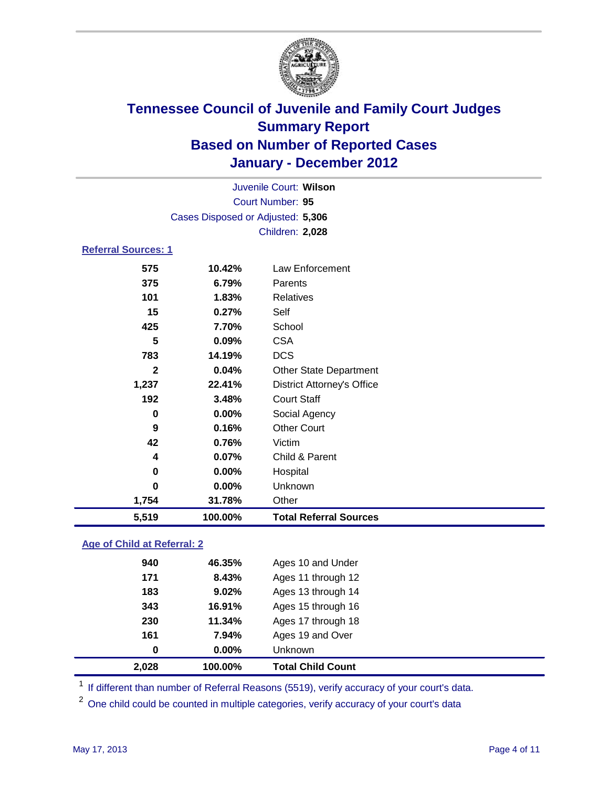

| Juvenile Court: Wilson      |                                   |                                   |  |  |  |
|-----------------------------|-----------------------------------|-----------------------------------|--|--|--|
|                             | Court Number: 95                  |                                   |  |  |  |
|                             | Cases Disposed or Adjusted: 5,306 |                                   |  |  |  |
|                             |                                   | Children: 2,028                   |  |  |  |
| <b>Referral Sources: 1</b>  |                                   |                                   |  |  |  |
| 575                         | 10.42%                            | <b>Law Enforcement</b>            |  |  |  |
| 375                         | 6.79%                             | Parents                           |  |  |  |
| 101                         | 1.83%                             | <b>Relatives</b>                  |  |  |  |
| 15                          | 0.27%                             | Self                              |  |  |  |
| 425                         | 7.70%                             | School                            |  |  |  |
| 5                           | 0.09%                             | <b>CSA</b>                        |  |  |  |
| 783                         | 14.19%                            | <b>DCS</b>                        |  |  |  |
| $\mathbf{2}$                | 0.04%                             | <b>Other State Department</b>     |  |  |  |
| 1,237                       | 22.41%                            | <b>District Attorney's Office</b> |  |  |  |
| 192                         | 3.48%                             | <b>Court Staff</b>                |  |  |  |
| $\bf{0}$                    | 0.00%                             | Social Agency                     |  |  |  |
| 9                           | 0.16%                             | <b>Other Court</b>                |  |  |  |
| 42                          | 0.76%                             | Victim                            |  |  |  |
| 4                           | 0.07%                             | Child & Parent                    |  |  |  |
| 0                           | $0.00\%$                          | Hospital                          |  |  |  |
| $\bf{0}$                    | 0.00%                             | <b>Unknown</b>                    |  |  |  |
| 1,754                       | 31.78%                            | Other                             |  |  |  |
| 5,519                       | 100.00%                           | <b>Total Referral Sources</b>     |  |  |  |
| Age of Child at Referral: 2 |                                   |                                   |  |  |  |

| 2,028 | 100.00% | <b>Total Child Count</b> |
|-------|---------|--------------------------|
| 0     | 0.00%   | Unknown                  |
| 161   | 7.94%   | Ages 19 and Over         |
| 230   | 11.34%  | Ages 17 through 18       |
| 343   | 16.91%  | Ages 15 through 16       |
| 183   | 9.02%   | Ages 13 through 14       |
| 171   | 8.43%   | Ages 11 through 12       |
| 940   | 46.35%  | Ages 10 and Under        |
|       |         |                          |

<sup>1</sup> If different than number of Referral Reasons (5519), verify accuracy of your court's data.

<sup>2</sup> One child could be counted in multiple categories, verify accuracy of your court's data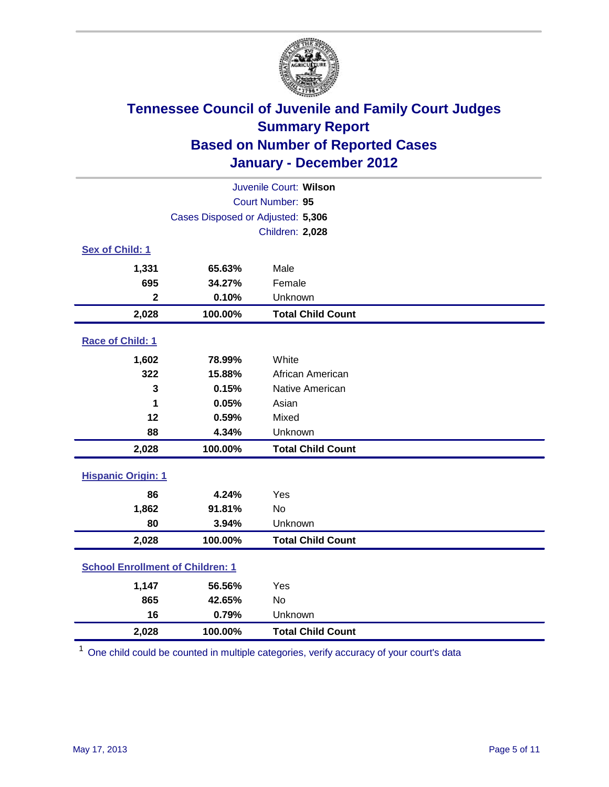

| Juvenile Court: Wilson                  |                                   |                          |  |  |  |
|-----------------------------------------|-----------------------------------|--------------------------|--|--|--|
| Court Number: 95                        |                                   |                          |  |  |  |
|                                         | Cases Disposed or Adjusted: 5,306 |                          |  |  |  |
|                                         |                                   | Children: 2,028          |  |  |  |
| Sex of Child: 1                         |                                   |                          |  |  |  |
| 1,331                                   | 65.63%                            | Male                     |  |  |  |
| 695                                     | 34.27%                            | Female                   |  |  |  |
| $\mathbf{2}$                            | 0.10%                             | Unknown                  |  |  |  |
| 2,028                                   | 100.00%                           | <b>Total Child Count</b> |  |  |  |
| Race of Child: 1                        |                                   |                          |  |  |  |
| 1,602                                   | 78.99%                            | White                    |  |  |  |
| 322                                     | 15.88%                            | African American         |  |  |  |
| 3                                       | 0.15%                             | Native American          |  |  |  |
| 1                                       | 0.05%                             | Asian                    |  |  |  |
| 12                                      | 0.59%                             | Mixed                    |  |  |  |
| 88                                      | 4.34%                             | Unknown                  |  |  |  |
| 2,028                                   | 100.00%                           | <b>Total Child Count</b> |  |  |  |
| <b>Hispanic Origin: 1</b>               |                                   |                          |  |  |  |
| 86                                      | 4.24%                             | Yes                      |  |  |  |
| 1,862                                   | 91.81%                            | <b>No</b>                |  |  |  |
| 80                                      | 3.94%                             | Unknown                  |  |  |  |
| 2,028                                   | 100.00%                           | <b>Total Child Count</b> |  |  |  |
| <b>School Enrollment of Children: 1</b> |                                   |                          |  |  |  |
| 1,147                                   | 56.56%                            | Yes                      |  |  |  |
| 865                                     | 42.65%                            | <b>No</b>                |  |  |  |
| 16                                      | 0.79%                             | Unknown                  |  |  |  |
| 2,028                                   | 100.00%                           | <b>Total Child Count</b> |  |  |  |

<sup>1</sup> One child could be counted in multiple categories, verify accuracy of your court's data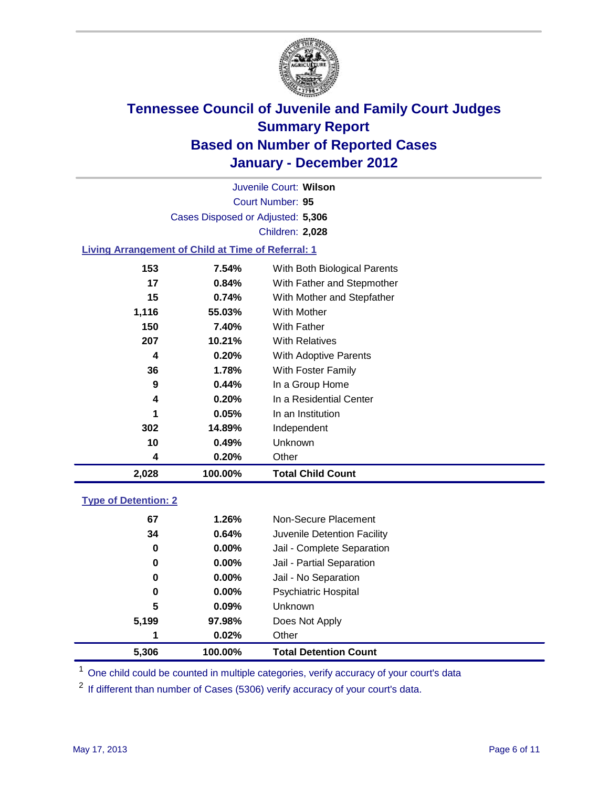

Court Number: **95** Juvenile Court: **Wilson** Cases Disposed or Adjusted: **5,306** Children: **2,028**

### **Living Arrangement of Child at Time of Referral: 1**

| 2,028 | 100.00%  | <b>Total Child Count</b>     |
|-------|----------|------------------------------|
| 4     | 0.20%    | Other                        |
| 10    | 0.49%    | Unknown                      |
| 302   | 14.89%   | Independent                  |
| 1     | 0.05%    | In an Institution            |
| 4     | 0.20%    | In a Residential Center      |
| 9     | 0.44%    | In a Group Home              |
| 36    | 1.78%    | With Foster Family           |
| 4     | 0.20%    | With Adoptive Parents        |
| 207   | 10.21%   | <b>With Relatives</b>        |
| 150   | 7.40%    | <b>With Father</b>           |
| 1,116 | 55.03%   | With Mother                  |
| 15    | 0.74%    | With Mother and Stepfather   |
| 17    | $0.84\%$ | With Father and Stepmother   |
| 153   | 7.54%    | With Both Biological Parents |

#### **Type of Detention: 2**

| 5.306 | 100.00%  | <b>Total Detention Count</b> |
|-------|----------|------------------------------|
| 1     | 0.02%    | Other                        |
| 5,199 | 97.98%   | Does Not Apply               |
| 5     | $0.09\%$ | <b>Unknown</b>               |
| 0     | 0.00%    | <b>Psychiatric Hospital</b>  |
| 0     | 0.00%    | Jail - No Separation         |
| 0     | $0.00\%$ | Jail - Partial Separation    |
| 0     | 0.00%    | Jail - Complete Separation   |
| 34    | 0.64%    | Juvenile Detention Facility  |
| 67    | 1.26%    | Non-Secure Placement         |
|       |          |                              |

<sup>1</sup> One child could be counted in multiple categories, verify accuracy of your court's data

<sup>2</sup> If different than number of Cases (5306) verify accuracy of your court's data.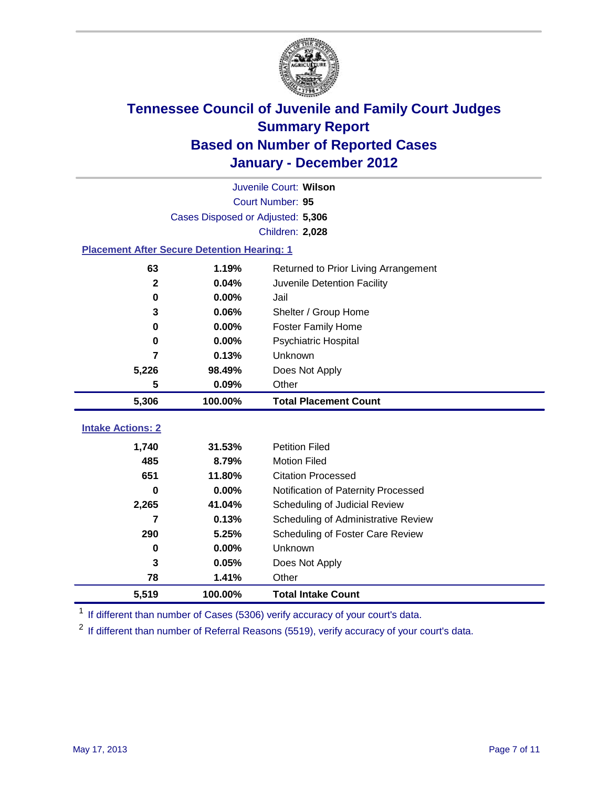

|                                                    | Juvenile Court: Wilson            |                                      |  |  |  |
|----------------------------------------------------|-----------------------------------|--------------------------------------|--|--|--|
|                                                    | Court Number: 95                  |                                      |  |  |  |
|                                                    | Cases Disposed or Adjusted: 5,306 |                                      |  |  |  |
|                                                    |                                   | Children: 2,028                      |  |  |  |
| <b>Placement After Secure Detention Hearing: 1</b> |                                   |                                      |  |  |  |
| 63                                                 | 1.19%                             | Returned to Prior Living Arrangement |  |  |  |
| $\mathbf{2}$                                       | 0.04%                             | Juvenile Detention Facility          |  |  |  |
| 0                                                  | 0.00%                             | Jail                                 |  |  |  |
| 3                                                  | 0.06%                             | Shelter / Group Home                 |  |  |  |
| $\bf{0}$                                           | 0.00%                             | <b>Foster Family Home</b>            |  |  |  |
| $\bf{0}$                                           | 0.00%                             | Psychiatric Hospital                 |  |  |  |
| 7                                                  | 0.13%                             | Unknown                              |  |  |  |
| 5,226                                              | 98.49%                            | Does Not Apply                       |  |  |  |
| 5                                                  | 0.09%                             | Other                                |  |  |  |
| 5,306                                              | 100.00%                           | <b>Total Placement Count</b>         |  |  |  |
|                                                    |                                   |                                      |  |  |  |
| <b>Intake Actions: 2</b>                           |                                   |                                      |  |  |  |
| 1,740                                              | 31.53%                            | <b>Petition Filed</b>                |  |  |  |
| 485                                                | 8.79%                             | <b>Motion Filed</b>                  |  |  |  |
| 651                                                | 11.80%                            | <b>Citation Processed</b>            |  |  |  |
| $\bf{0}$                                           | 0.00%                             | Notification of Paternity Processed  |  |  |  |
| 2,265                                              | 41.04%                            | Scheduling of Judicial Review        |  |  |  |
| 7                                                  | 0.13%                             | Scheduling of Administrative Review  |  |  |  |
| 290                                                | 5.25%                             | Scheduling of Foster Care Review     |  |  |  |
| 0                                                  | 0.00%                             | Unknown                              |  |  |  |
| 3                                                  | 0.05%                             | Does Not Apply                       |  |  |  |
| 78                                                 | 1.41%                             | Other                                |  |  |  |
| 5,519                                              | 100.00%                           | <b>Total Intake Count</b>            |  |  |  |

<sup>1</sup> If different than number of Cases (5306) verify accuracy of your court's data.

<sup>2</sup> If different than number of Referral Reasons (5519), verify accuracy of your court's data.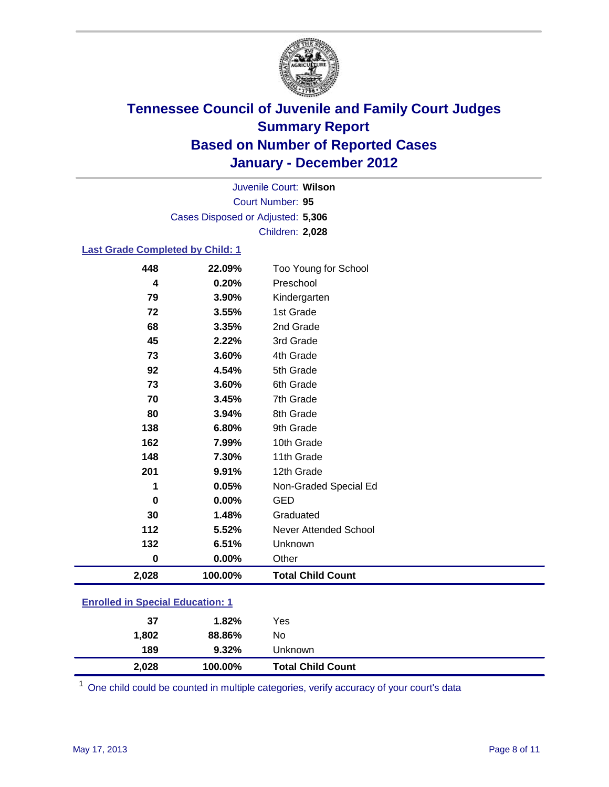

Court Number: **95** Juvenile Court: **Wilson** Cases Disposed or Adjusted: **5,306** Children: **2,028**

### **Last Grade Completed by Child: 1**

| 448                                     | 22.09%  | Too Young for School         |  |
|-----------------------------------------|---------|------------------------------|--|
| 4                                       | 0.20%   | Preschool                    |  |
| 79                                      | 3.90%   | Kindergarten                 |  |
| 72                                      | 3.55%   | 1st Grade                    |  |
| 68                                      | 3.35%   | 2nd Grade                    |  |
| 45                                      | 2.22%   | 3rd Grade                    |  |
| 73                                      | 3.60%   | 4th Grade                    |  |
| 92                                      | 4.54%   | 5th Grade                    |  |
| 73                                      | 3.60%   | 6th Grade                    |  |
| 70                                      | 3.45%   | 7th Grade                    |  |
| 80                                      | 3.94%   | 8th Grade                    |  |
| 138                                     | 6.80%   | 9th Grade                    |  |
| 162                                     | 7.99%   | 10th Grade                   |  |
| 148                                     | 7.30%   | 11th Grade                   |  |
| 201                                     | 9.91%   | 12th Grade                   |  |
| 1                                       | 0.05%   | Non-Graded Special Ed        |  |
| 0                                       | 0.00%   | <b>GED</b>                   |  |
| 30                                      | 1.48%   | Graduated                    |  |
| 112                                     | 5.52%   | <b>Never Attended School</b> |  |
| 132                                     | 6.51%   | Unknown                      |  |
| 0                                       | 0.00%   | Other                        |  |
| 2,028                                   | 100.00% | <b>Total Child Count</b>     |  |
| <b>Enrolled in Special Education: 1</b> |         |                              |  |

| 2,028                                    | 100.00% | <b>Total Child Count</b> |  |
|------------------------------------------|---------|--------------------------|--|
| 189                                      | 9.32%   | Unknown                  |  |
| 1,802                                    | 88.86%  | No                       |  |
| 37                                       | 1.82%   | Yes                      |  |
| <u>Einvilled in Opecial Education. T</u> |         |                          |  |

One child could be counted in multiple categories, verify accuracy of your court's data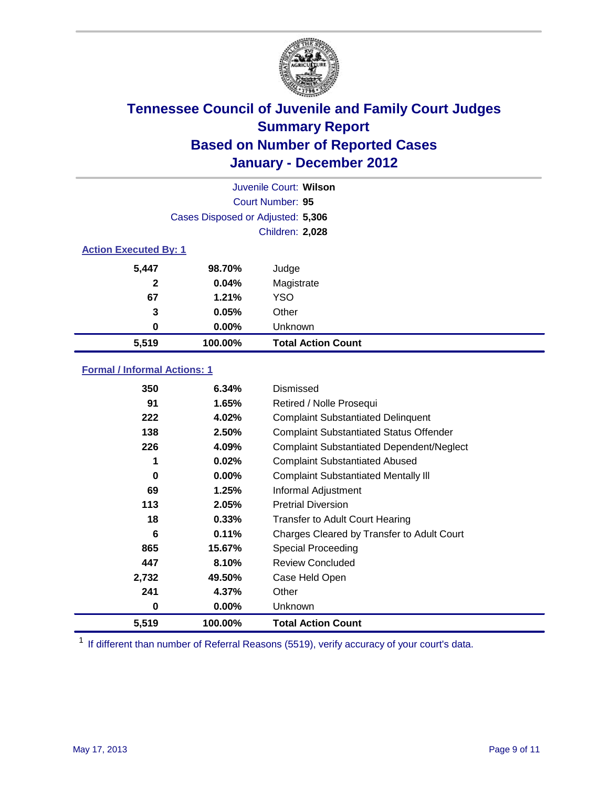

|                              | Juvenile Court: Wilson            |                           |  |
|------------------------------|-----------------------------------|---------------------------|--|
|                              |                                   | Court Number: 95          |  |
|                              | Cases Disposed or Adjusted: 5,306 |                           |  |
|                              | Children: 2,028                   |                           |  |
| <b>Action Executed By: 1</b> |                                   |                           |  |
| 5,447                        | 98.70%                            | Judge                     |  |
| $\mathbf{2}$                 | 0.04%                             | Magistrate                |  |
| 67                           | 1.21%                             | <b>YSO</b>                |  |
| 3                            | 0.05%                             | Other                     |  |
| 0                            | 0.00%                             | Unknown                   |  |
| 5,519                        | 100.00%                           | <b>Total Action Count</b> |  |

### **Formal / Informal Actions: 1**

| 350   | 6.34%    | Dismissed                                        |
|-------|----------|--------------------------------------------------|
| 91    | 1.65%    | Retired / Nolle Prosequi                         |
| 222   | 4.02%    | <b>Complaint Substantiated Delinquent</b>        |
| 138   | 2.50%    | <b>Complaint Substantiated Status Offender</b>   |
| 226   | 4.09%    | <b>Complaint Substantiated Dependent/Neglect</b> |
| 1     | 0.02%    | <b>Complaint Substantiated Abused</b>            |
| 0     | $0.00\%$ | <b>Complaint Substantiated Mentally III</b>      |
| 69    | 1.25%    | Informal Adjustment                              |
| 113   | 2.05%    | <b>Pretrial Diversion</b>                        |
| 18    | 0.33%    | <b>Transfer to Adult Court Hearing</b>           |
| 6     | 0.11%    | Charges Cleared by Transfer to Adult Court       |
| 865   | 15.67%   | <b>Special Proceeding</b>                        |
| 447   | 8.10%    | <b>Review Concluded</b>                          |
| 2,732 | 49.50%   | Case Held Open                                   |
| 241   | 4.37%    | Other                                            |
| 0     | 0.00%    | Unknown                                          |
| 5,519 | 100.00%  | <b>Total Action Count</b>                        |

<sup>1</sup> If different than number of Referral Reasons (5519), verify accuracy of your court's data.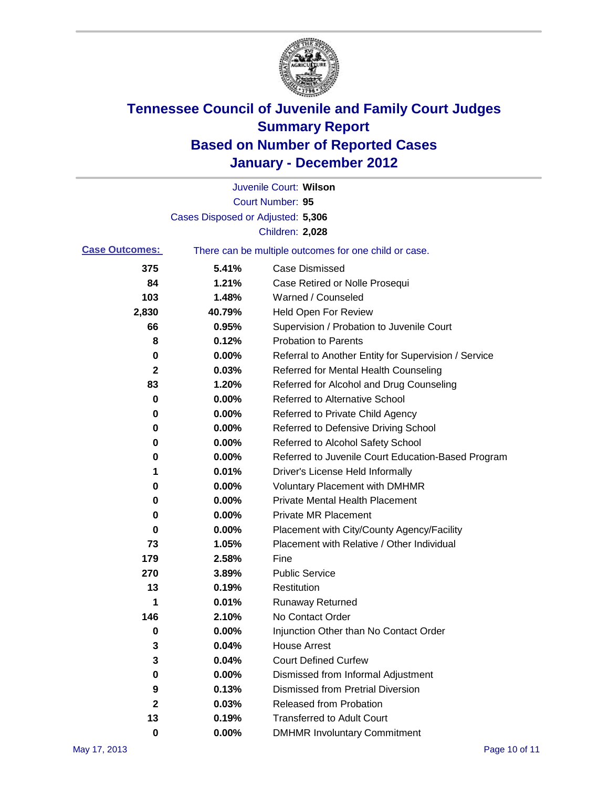

|                       |                                   | Juvenile Court: Wilson                                |
|-----------------------|-----------------------------------|-------------------------------------------------------|
|                       |                                   | Court Number: 95                                      |
|                       | Cases Disposed or Adjusted: 5,306 |                                                       |
|                       |                                   | Children: 2,028                                       |
| <b>Case Outcomes:</b> |                                   | There can be multiple outcomes for one child or case. |
| 375                   | 5.41%                             | <b>Case Dismissed</b>                                 |
| 84                    | 1.21%                             | Case Retired or Nolle Prosequi                        |
| 103                   | 1.48%                             | Warned / Counseled                                    |
| 2,830                 | 40.79%                            | <b>Held Open For Review</b>                           |
| 66                    | 0.95%                             | Supervision / Probation to Juvenile Court             |
| 8                     | 0.12%                             | <b>Probation to Parents</b>                           |
| 0                     | 0.00%                             | Referral to Another Entity for Supervision / Service  |
| 2                     | 0.03%                             | Referred for Mental Health Counseling                 |
| 83                    | 1.20%                             | Referred for Alcohol and Drug Counseling              |
| 0                     | 0.00%                             | <b>Referred to Alternative School</b>                 |
| 0                     | 0.00%                             | Referred to Private Child Agency                      |
| 0                     | 0.00%                             | Referred to Defensive Driving School                  |
| 0                     | 0.00%                             | Referred to Alcohol Safety School                     |
| 0                     | 0.00%                             | Referred to Juvenile Court Education-Based Program    |
| 1                     | 0.01%                             | Driver's License Held Informally                      |
| 0                     | 0.00%                             | <b>Voluntary Placement with DMHMR</b>                 |
| 0                     | 0.00%                             | <b>Private Mental Health Placement</b>                |
| 0                     | 0.00%                             | <b>Private MR Placement</b>                           |
| 0                     | 0.00%                             | Placement with City/County Agency/Facility            |
| 73                    | 1.05%                             | Placement with Relative / Other Individual            |
| 179                   | 2.58%                             | Fine                                                  |
| 270                   | 3.89%                             | <b>Public Service</b>                                 |
| 13                    | 0.19%                             | Restitution                                           |
| 1                     | 0.01%                             | <b>Runaway Returned</b>                               |
| 146                   | 2.10%                             | No Contact Order                                      |
| 0                     | 0.00%                             | Injunction Other than No Contact Order                |
| 3                     | 0.04%                             | <b>House Arrest</b>                                   |
| 3                     | 0.04%                             | <b>Court Defined Curfew</b>                           |
| 0                     | 0.00%                             | Dismissed from Informal Adjustment                    |
| 9                     | 0.13%                             | <b>Dismissed from Pretrial Diversion</b>              |
| 2                     | 0.03%                             | Released from Probation                               |
| 13                    | 0.19%                             | <b>Transferred to Adult Court</b>                     |
| 0                     | $0.00\%$                          | <b>DMHMR Involuntary Commitment</b>                   |